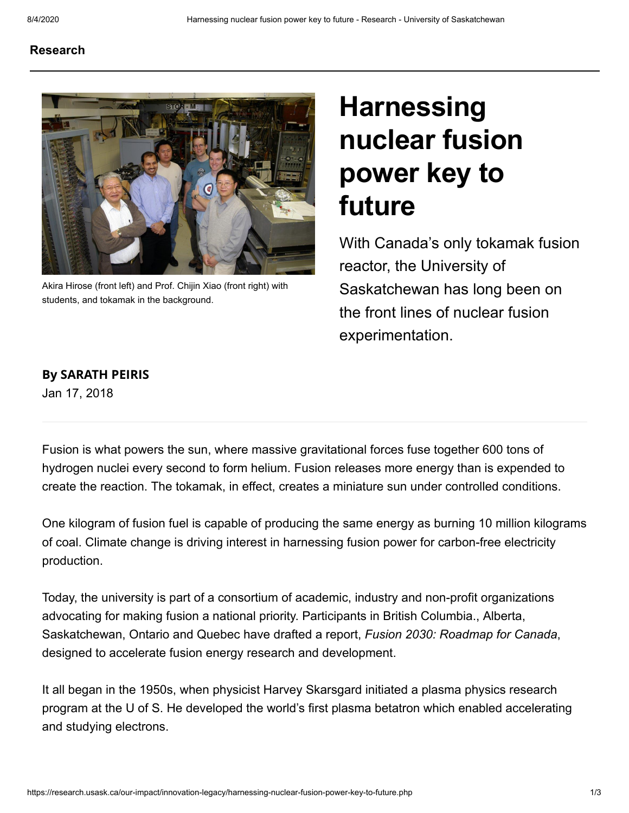## [Research](https://research.usask.ca/index.php)



Akira Hirose (front left) and Prof. Chijin Xiao (front right) with students, and tokamak in the background.

## **Harnessing** nuclear fusion power key to future

With Canada's only tokamak fusion reactor, the University of Saskatchewan has long been on the front lines of nuclear fusion experimentation.

## By SARATH PEIRIS

Jan 17, 2018

Fusion is what powers the sun, where massive gravitational forces fuse together 600 tons of hydrogen nuclei every second to form helium. Fusion releases more energy than is expended to create the reaction. The tokamak, in effect, creates a miniature sun under controlled conditions.

One kilogram of fusion fuel is capable of producing the same energy as burning 10 million kilograms of coal. Climate change is driving interest in harnessing fusion power for carbon-free electricity production.

Today, the university is part of a consortium of academic, industry and non-profit organizations advocating for making fusion a national priority. Participants in British Columbia., Alberta, Saskatchewan, Ontario and Quebec have drafted a report, Fusion 2030: Roadmap for Canada, designed to accelerate fusion energy research and development.

It all began in the 1950s, when physicist Harvey Skarsgard initiated a plasma physics research program at the U of S. He developed the world's first plasma betatron which enabled accelerating and studying electrons.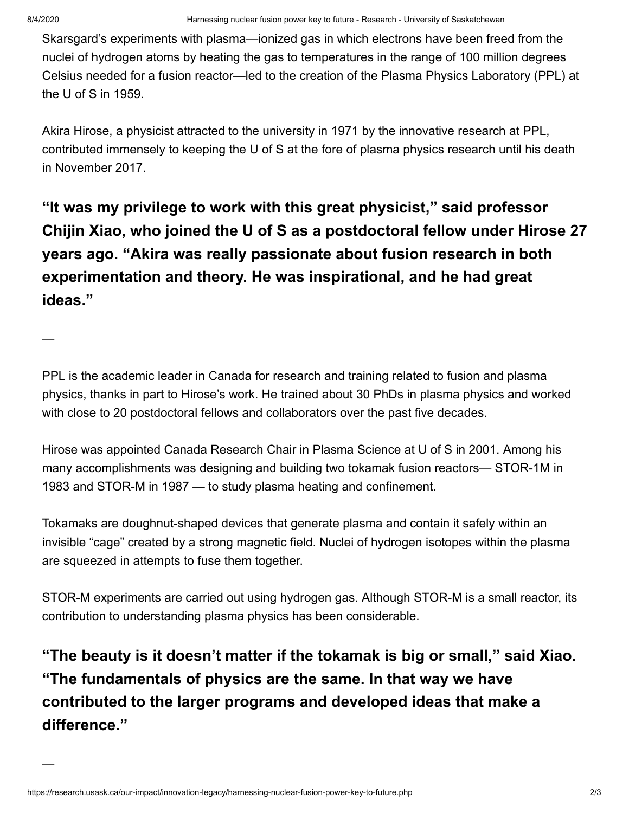—

—

Skarsgard's experiments with plasma—ionized gas in which electrons have been freed from the nuclei of hydrogen atoms by heating the gas to temperatures in the range of 100 million degrees Celsius needed for a fusion reactor—led to the creation of the Plasma Physics Laboratory (PPL) at the U of S in 1959.

Akira Hirose, a physicist attracted to the university in 1971 by the innovative research at PPL, contributed immensely to keeping the U of S at the fore of plasma physics research until his death in November 2017.

"It was my privilege to work with this great physicist," said professor Chijin Xiao, who joined the U of S as a postdoctoral fellow under Hirose 27 years ago. "Akira was really passionate about fusion research in both experimentation and theory. He was inspirational, and he had great ideas."

PPL is the academic leader in Canada for research and training related to fusion and plasma physics, thanks in part to Hirose's work. He trained about 30 PhDs in plasma physics and worked with close to 20 postdoctoral fellows and collaborators over the past five decades.

Hirose was appointed Canada Research Chair in Plasma Science at U of S in 2001. Among his many accomplishments was designing and building two tokamak fusion reactors— STOR-1M in 1983 and STOR-M in 1987 — to study plasma heating and confinement.

Tokamaks are doughnut-shaped devices that generate plasma and contain it safely within an invisible "cage" created by a strong magnetic field. Nuclei of hydrogen isotopes within the plasma are squeezed in attempts to fuse them together.

STOR-M experiments are carried out using hydrogen gas. Although STOR-M is a small reactor, its contribution to understanding plasma physics has been considerable.

"The beauty is it doesn't matter if the tokamak is big or small," said Xiao. "The fundamentals of physics are the same. In that way we have contributed to the larger programs and developed ideas that make a difference."